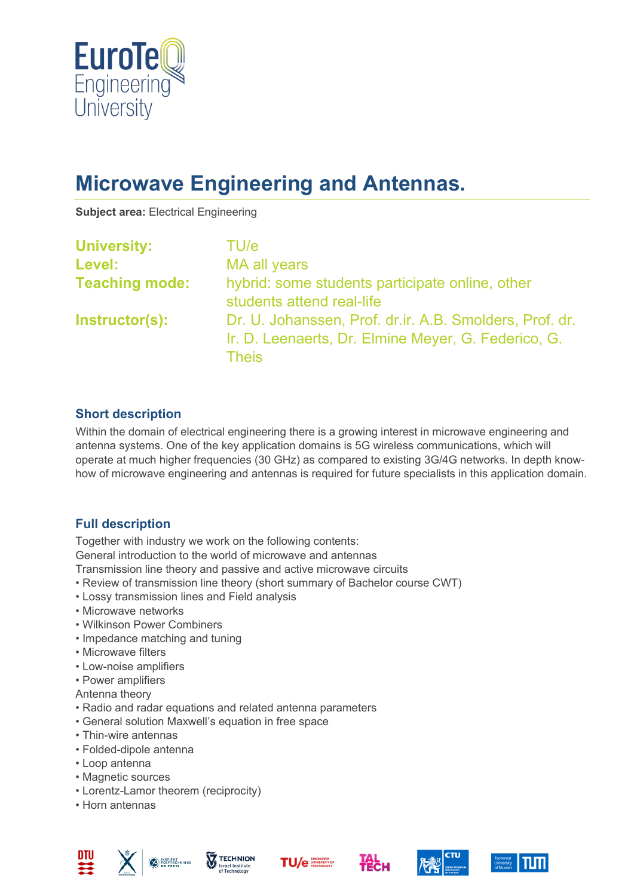

# **Microwave Engineering and Antennas.**

**Subject area:** Electrical Engineering

| <b>University:</b>    | TU/e                                                                                                                           |
|-----------------------|--------------------------------------------------------------------------------------------------------------------------------|
| Level:                | MA all years                                                                                                                   |
| <b>Teaching mode:</b> | hybrid: some students participate online, other<br>students attend real-life                                                   |
| Instructor(s):        | Dr. U. Johanssen, Prof. dr.ir. A.B. Smolders, Prof. dr.<br>Ir. D. Leenaerts, Dr. Elmine Meyer, G. Federico, G.<br><b>Theis</b> |

### **Short description**

Within the domain of electrical engineering there is a growing interest in microwave engineering and antenna systems. One of the key application domains is 5G wireless communications, which will operate at much higher frequencies (30 GHz) as compared to existing 3G/4G networks. In depth knowhow of microwave engineering and antennas is required for future specialists in this application domain.

# **Full description**

Together with industry we work on the following contents:

General introduction to the world of microwave and antennas

Transmission line theory and passive and active microwave circuits

- Review of transmission line theory (short summary of Bachelor course CWT)
- Lossy transmission lines and Field analysis
- Microwave networks
- Wilkinson Power Combiners
- Impedance matching and tuning
- Microwave filters
- Low-noise amplifiers
- Power amplifiers

Antenna theory

- Radio and radar equations and related antenna parameters
- General solution Maxwell's equation in free space
- Thin-wire antennas
- Folded-dipole antenna
- Loop antenna
- Magnetic sources
- Lorentz-Lamor theorem (reciprocity)
- Horn antennas











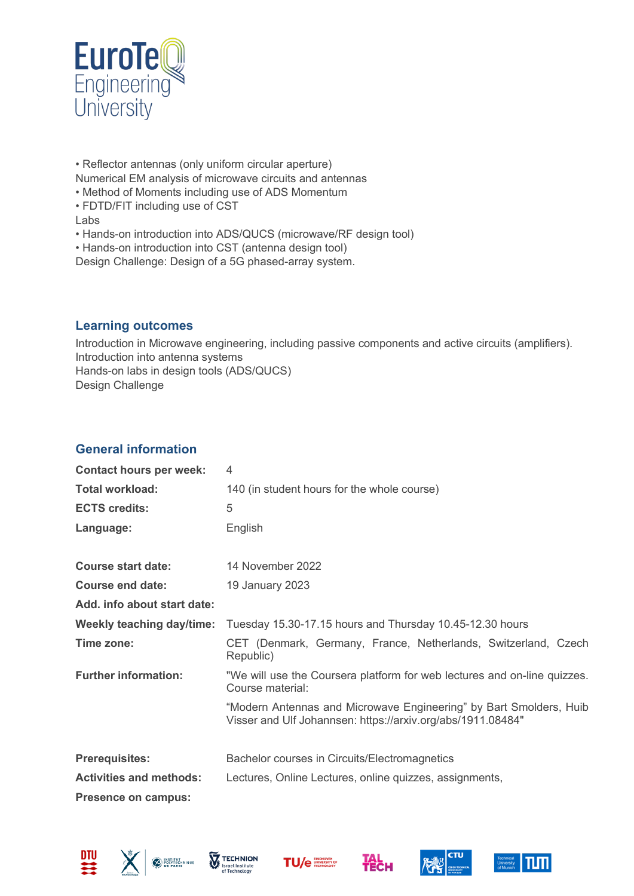

• Reflector antennas (only uniform circular aperture) Numerical EM analysis of microwave circuits and antennas • Method of Moments including use of ADS Momentum • FDTD/FIT including use of CST

- Labs
- Hands-on introduction into ADS/QUCS (microwave/RF design tool)
- Hands-on introduction into CST (antenna design tool)

Design Challenge: Design of a 5G phased-array system.

#### **Learning outcomes**

Introduction in Microwave engineering, including passive components and active circuits (amplifiers). Introduction into antenna systems Hands-on labs in design tools (ADS/QUCS) Design Challenge

### **General information**

| <b>Contact hours per week:</b> | 4                                                                                                                                 |
|--------------------------------|-----------------------------------------------------------------------------------------------------------------------------------|
| <b>Total workload:</b>         | 140 (in student hours for the whole course)                                                                                       |
| <b>ECTS credits:</b>           | 5                                                                                                                                 |
| Language:                      | English                                                                                                                           |
| <b>Course start date:</b>      | 14 November 2022                                                                                                                  |
| <b>Course end date:</b>        | 19 January 2023                                                                                                                   |
| Add. info about start date:    |                                                                                                                                   |
| Weekly teaching day/time:      | Tuesday 15.30-17.15 hours and Thursday 10.45-12.30 hours                                                                          |
| Time zone:                     | CET (Denmark, Germany, France, Netherlands, Switzerland, Czech<br>Republic)                                                       |
| <b>Further information:</b>    | "We will use the Coursera platform for web lectures and on-line quizzes.<br>Course material:                                      |
|                                | "Modern Antennas and Microwave Engineering" by Bart Smolders, Huib<br>Visser and Ulf Johannsen: https://arxiv.org/abs/1911.08484" |
| <b>Prerequisites:</b>          | Bachelor courses in Circuits/Electromagnetics                                                                                     |
| <b>Activities and methods:</b> | Lectures, Online Lectures, online quizzes, assignments,                                                                           |
| <b>Presence on campus:</b>     |                                                                                                                                   |











**TAL**